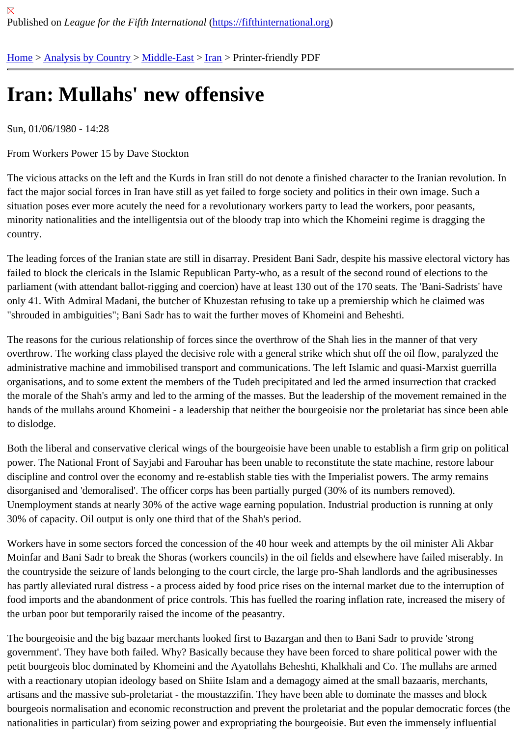## [Iran](https://fifthinternational.org/)[: Mullahs](https://fifthinternational.org/category/1)' [new of](https://fifthinternational.org/category/1/178)[fen](https://fifthinternational.org/category/1/178/182)sive

Sun, 01/06/1980 - 14:28

From Workers Power 15 by Dave Stockton

The vicious attacks on the left and the Kurds in Iran still do not denote a finished character to the Iranian revolutior fact the major social forces in Iran have still as yet failed to forge society and politics in their own image. Such a situation poses ever more acutely the need for a revolutionary workers party to lead the workers, poor peasants, minority nationalities and the intelligentsia out of the bloody trap into which the Khomeini regime is dragging the country.

The leading forces of the Iranian state are still in disarray. President Bani Sadr, despite his massive electoral victo failed to block the clericals in the Islamic Republican Party-who, as a result of the second round of elections to the parliament (with attendant ballot-rigging and coercion) have at least 130 out of the 170 seats. The 'Bani-Sadrists' h only 41. With Admiral Madani, the butcher of Khuzestan refusing to take up a premiership which he claimed was "shrouded in ambiguities"; Bani Sadr has to wait the further moves of Khomeini and Beheshti.

The reasons for the curious relationship of forces since the overthrow of the Shah lies in the manner of that very overthrow. The working class played the decisive role with a general strike which shut off the oil flow, paralyzed th administrative machine and immobilised transport and communications. The left Islamic and quasi-Marxist guerrilla organisations, and to some extent the members of the Tudeh precipitated and led the armed insurrection that crac the morale of the Shah's army and led to the arming of the masses. But the leadership of the movement remained hands of the mullahs around Khomeini - a leadership that neither the bourgeoisie nor the proletariat has since bee to dislodge.

Both the liberal and conservative clerical wings of the bourgeoisie have been unable to establish a firm grip on pol power. The National Front of Sayjabi and Farouhar has been unable to reconstitute the state machine, restore lab discipline and control over the economy and re-establish stable ties with the Imperialist powers. The army remains disorganised and 'demoralised'. The officer corps has been partially purged (30% of its numbers removed). Unemployment stands at nearly 30% of the active wage earning population. Industrial production is running at only 30% of capacity. Oil output is only one third that of the Shah's period.

Workers have in some sectors forced the concession of the 40 hour week and attempts by the oil minister Ali Akba Moinfar and Bani Sadr to break the Shoras (workers councils) in the oil fields and elsewhere have failed miserably. In the countryside the seizure of lands belonging to the court circle, the large pro-Shah landlords and the agribusines has partly alleviated rural distress - a process aided by food price rises on the internal market due to the interruption food imports and the abandonment of price controls. This has fuelled the roaring inflation rate, increased the miser the urban poor but temporarily raised the income of the peasantry.

The bourgeoisie and the big bazaar merchants looked first to Bazargan and then to Bani Sadr to provide 'strong government'. They have both failed. Why? Basically because they have been forced to share political power with t petit bourgeois bloc dominated by Khomeini and the Ayatollahs Beheshti, Khalkhali and Co. The mullahs are arme with a reactionary utopian ideology based on Shiite Islam and a demagogy aimed at the small bazaaris, merchants artisans and the massive sub-proletariat - the moustazzifin. They have been able to dominate the masses and blo bourgeois normalisation and economic reconstruction and prevent the proletariat and the popular democratic force nationalities in particular) from seizing power and expropriating the bourgeoisie. But even the immensely influential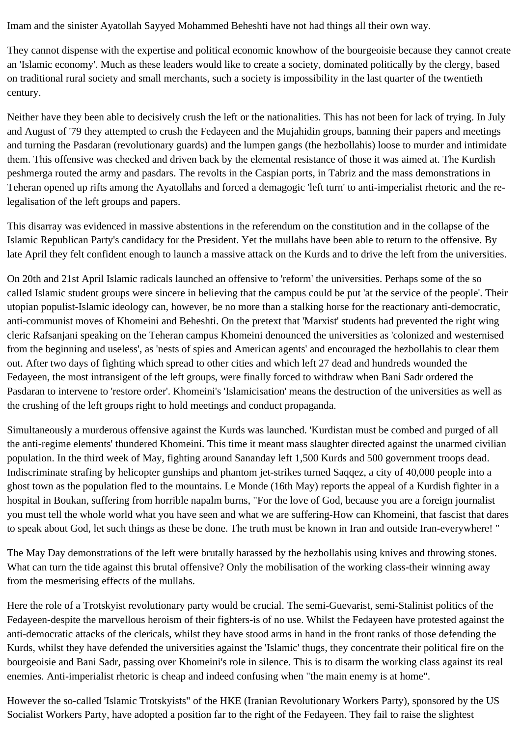Imam and the sinister Ayatollah Sayyed Mohammed Beheshti have not had things all their own way.

They cannot dispense with the expertise and political economic knowhow of the bourgeoisie because they cannot create an 'Islamic economy'. Much as these leaders would like to create a society, dominated politically by the clergy, based on traditional rural society and small merchants, such a society is impossibility in the last quarter of the twentieth century.

Neither have they been able to decisively crush the left or the nationalities. This has not been for lack of trying. In July and August of '79 they attempted to crush the Fedayeen and the Mujahidin groups, banning their papers and meetings and turning the Pasdaran (revolutionary guards) and the lumpen gangs (the hezbollahis) loose to murder and intimidate them. This offensive was checked and driven back by the elemental resistance of those it was aimed at. The Kurdish peshmerga routed the army and pasdars. The revolts in the Caspian ports, in Tabriz and the mass demonstrations in Teheran opened up rifts among the Ayatollahs and forced a demagogic 'left turn' to anti-imperialist rhetoric and the relegalisation of the left groups and papers.

This disarray was evidenced in massive abstentions in the referendum on the constitution and in the collapse of the Islamic Republican Party's candidacy for the President. Yet the mullahs have been able to return to the offensive. By late April they felt confident enough to launch a massive attack on the Kurds and to drive the left from the universities.

On 20th and 21st April Islamic radicals launched an offensive to 'reform' the universities. Perhaps some of the so called Islamic student groups were sincere in believing that the campus could be put 'at the service of the people'. Their utopian populist-Islamic ideology can, however, be no more than a stalking horse for the reactionary anti-democratic, anti-communist moves of Khomeini and Beheshti. On the pretext that 'Marxist' students had prevented the right wing cleric Rafsanjani speaking on the Teheran campus Khomeini denounced the universities as 'colonized and westernised from the beginning and useless', as 'nests of spies and American agents' and encouraged the hezbollahis to clear them out. After two days of fighting which spread to other cities and which left 27 dead and hundreds wounded the Fedayeen, the most intransigent of the left groups, were finally forced to withdraw when Bani Sadr ordered the Pasdaran to intervene to 'restore order'. Khomeini's 'Islamicisation' means the destruction of the universities as well as the crushing of the left groups right to hold meetings and conduct propaganda.

Simultaneously a murderous offensive against the Kurds was launched. 'Kurdistan must be combed and purged of all the anti-regime elements' thundered Khomeini. This time it meant mass slaughter directed against the unarmed civilian population. In the third week of May, fighting around Sananday left 1,500 Kurds and 500 government troops dead. Indiscriminate strafing by helicopter gunships and phantom jet-strikes turned Saqqez, a city of 40,000 people into a ghost town as the population fled to the mountains. Le Monde (16th May) reports the appeal of a Kurdish fighter in a hospital in Boukan, suffering from horrible napalm burns, "For the love of God, because you are a foreign journalist you must tell the whole world what you have seen and what we are suffering-How can Khomeini, that fascist that dares to speak about God, let such things as these be done. The truth must be known in Iran and outside Iran-everywhere! "

The May Day demonstrations of the left were brutally harassed by the hezbollahis using knives and throwing stones. What can turn the tide against this brutal offensive? Only the mobilisation of the working class-their winning away from the mesmerising effects of the mullahs.

Here the role of a Trotskyist revolutionary party would be crucial. The semi-Guevarist, semi-Stalinist politics of the Fedayeen-despite the marvellous heroism of their fighters-is of no use. Whilst the Fedayeen have protested against the anti-democratic attacks of the clericals, whilst they have stood arms in hand in the front ranks of those defending the Kurds, whilst they have defended the universities against the 'Islamic' thugs, they concentrate their political fire on the bourgeoisie and Bani Sadr, passing over Khomeini's role in silence. This is to disarm the working class against its real enemies. Anti-imperialist rhetoric is cheap and indeed confusing when "the main enemy is at home".

However the so-called 'Islamic Trotskyists" of the HKE (Iranian Revolutionary Workers Party), sponsored by the US Socialist Workers Party, have adopted a position far to the right of the Fedayeen. They fail to raise the slightest